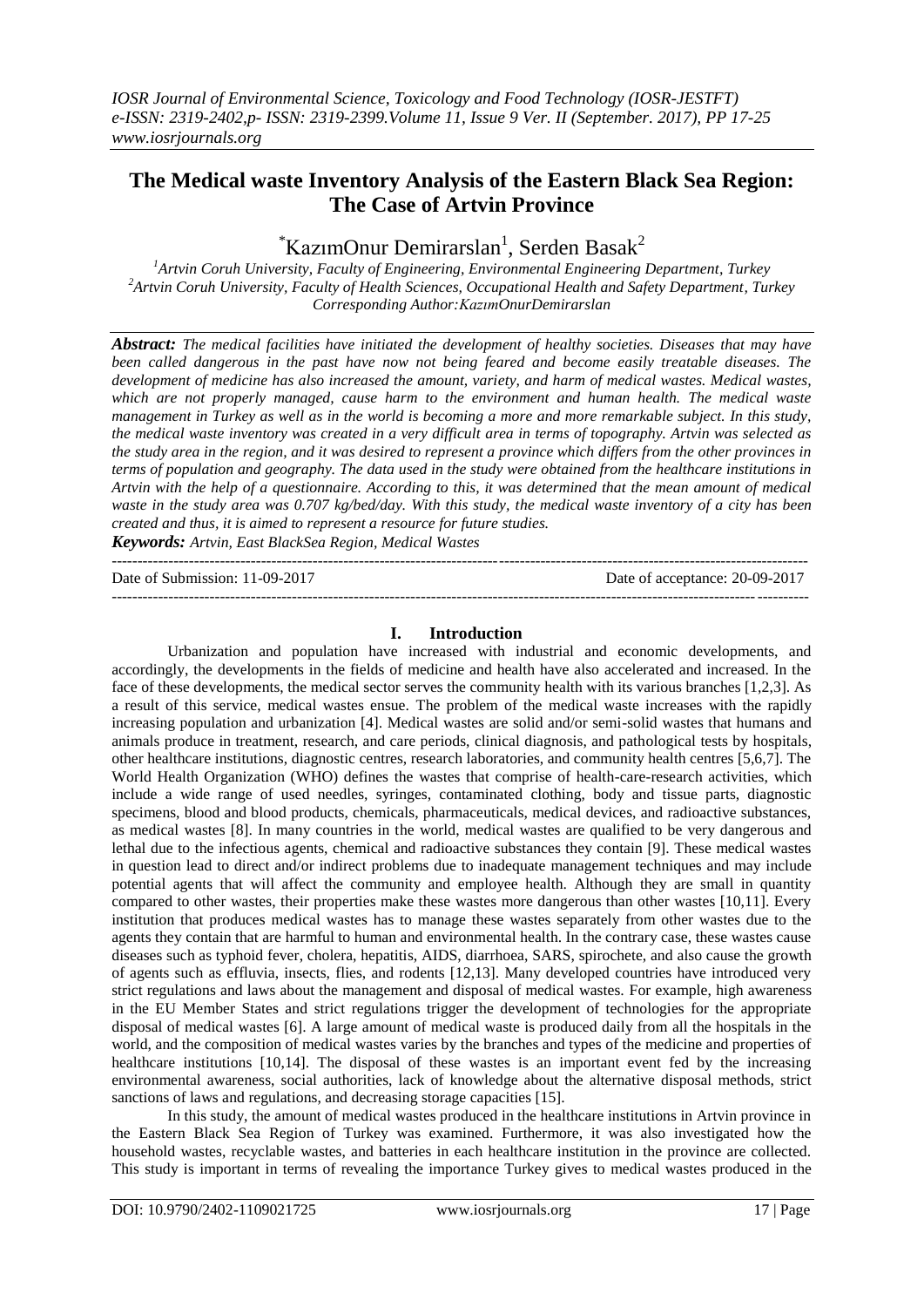## **The Medical waste Inventory Analysis of the Eastern Black Sea Region: The Case of Artvin Province**

# $k$ KazımOnur Demirarslan<sup>1</sup>, Serden Basak<sup>2</sup>

*<sup>1</sup>Artvin Coruh University, Faculty of Engineering, Environmental Engineering Department, Turkey <sup>2</sup>Artvin Coruh University, Faculty of Health Sciences, Occupational Health and Safety Department, Turkey Corresponding Author:KazımOnurDemirarslan*

*Abstract: The medical facilities have initiated the development of healthy societies. Diseases that may have been called dangerous in the past have now not being feared and become easily treatable diseases. The development of medicine has also increased the amount, variety, and harm of medical wastes. Medical wastes, which are not properly managed, cause harm to the environment and human health. The medical waste management in Turkey as well as in the world is becoming a more and more remarkable subject. In this study, the medical waste inventory was created in a very difficult area in terms of topography. Artvin was selected as the study area in the region, and it was desired to represent a province which differs from the other provinces in terms of population and geography. The data used in the study were obtained from the healthcare institutions in Artvin with the help of a questionnaire. According to this, it was determined that the mean amount of medical waste in the study area was 0.707 kg/bed/day. With this study, the medical waste inventory of a city has been created and thus, it is aimed to represent a resource for future studies.* 

*Keywords: Artvin, East BlackSea Region, Medical Wastes* ---------------------------------------------------------------------------------------------------------------------------------------

Date of Submission: 11-09-2017 Date of acceptance: 20-09-2017

### **I. Introduction**

---------------------------------------------------------------------------------------------------------------------------------------

Urbanization and population have increased with industrial and economic developments, and accordingly, the developments in the fields of medicine and health have also accelerated and increased. In the face of these developments, the medical sector serves the community health with its various branches [1,2,3]. As a result of this service, medical wastes ensue. The problem of the medical waste increases with the rapidly increasing population and urbanization [4]. Medical wastes are solid and/or semi-solid wastes that humans and animals produce in treatment, research, and care periods, clinical diagnosis, and pathological tests by hospitals, other healthcare institutions, diagnostic centres, research laboratories, and community health centres [5,6,7]. The World Health Organization (WHO) defines the wastes that comprise of health-care-research activities, which include a wide range of used needles, syringes, contaminated clothing, body and tissue parts, diagnostic specimens, blood and blood products, chemicals, pharmaceuticals, medical devices, and radioactive substances, as medical wastes [8]. In many countries in the world, medical wastes are qualified to be very dangerous and lethal due to the infectious agents, chemical and radioactive substances they contain [9]. These medical wastes in question lead to direct and/or indirect problems due to inadequate management techniques and may include potential agents that will affect the community and employee health. Although they are small in quantity compared to other wastes, their properties make these wastes more dangerous than other wastes [10,11]. Every institution that produces medical wastes has to manage these wastes separately from other wastes due to the agents they contain that are harmful to human and environmental health. In the contrary case, these wastes cause diseases such as typhoid fever, cholera, hepatitis, AIDS, diarrhoea, SARS, spirochete, and also cause the growth of agents such as effluvia, insects, flies, and rodents [12,13]. Many developed countries have introduced very strict regulations and laws about the management and disposal of medical wastes. For example, high awareness in the EU Member States and strict regulations trigger the development of technologies for the appropriate disposal of medical wastes [6]. A large amount of medical waste is produced daily from all the hospitals in the world, and the composition of medical wastes varies by the branches and types of the medicine and properties of healthcare institutions [10,14]. The disposal of these wastes is an important event fed by the increasing environmental awareness, social authorities, lack of knowledge about the alternative disposal methods, strict sanctions of laws and regulations, and decreasing storage capacities [15].

In this study, the amount of medical wastes produced in the healthcare institutions in Artvin province in the Eastern Black Sea Region of Turkey was examined. Furthermore, it was also investigated how the household wastes, recyclable wastes, and batteries in each healthcare institution in the province are collected. This study is important in terms of revealing the importance Turkey gives to medical wastes produced in the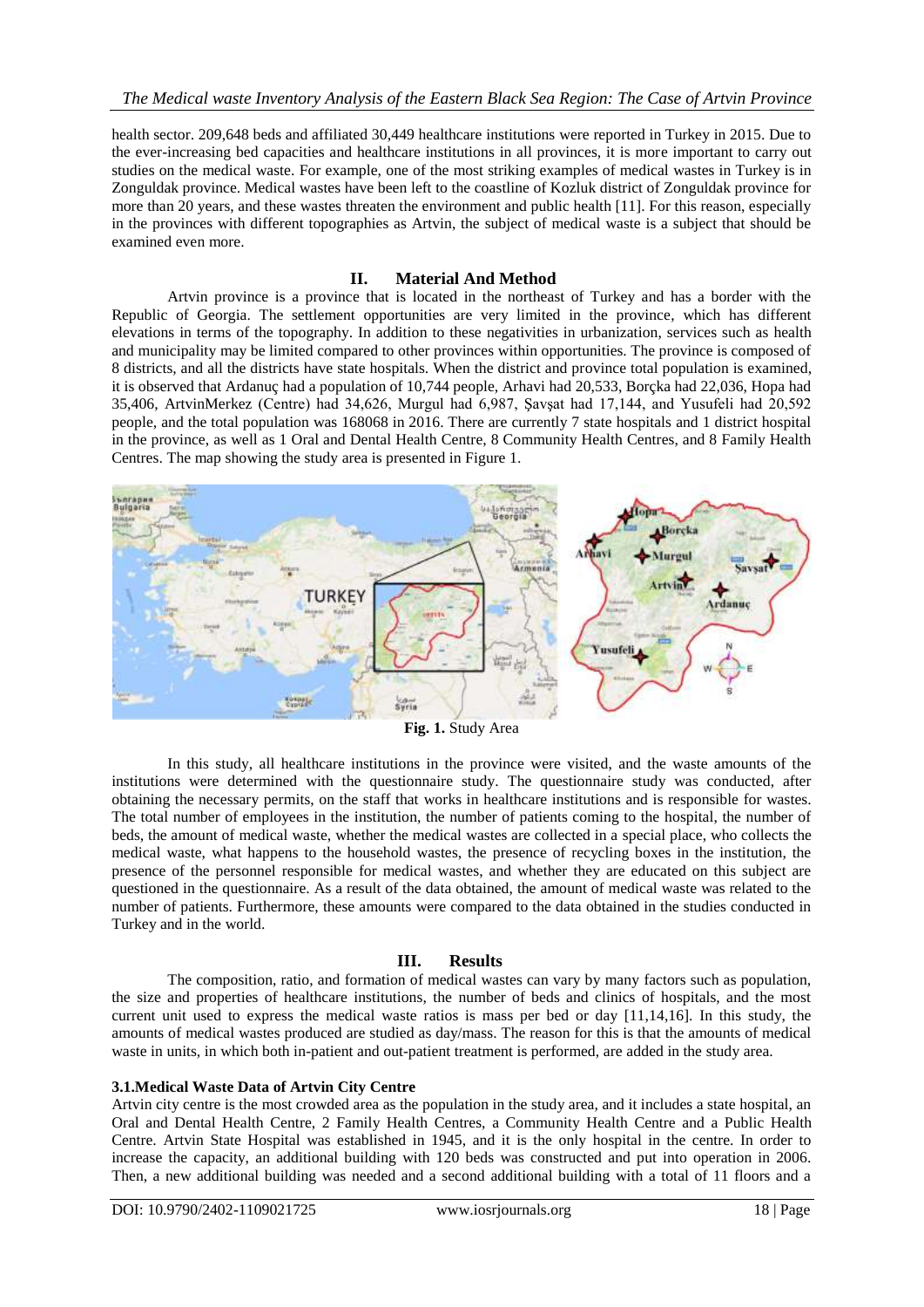health sector. 209,648 beds and affiliated 30,449 healthcare institutions were reported in Turkey in 2015. Due to the ever-increasing bed capacities and healthcare institutions in all provinces, it is more important to carry out studies on the medical waste. For example, one of the most striking examples of medical wastes in Turkey is in Zonguldak province. Medical wastes have been left to the coastline of Kozluk district of Zonguldak province for more than 20 years, and these wastes threaten the environment and public health [11]. For this reason, especially in the provinces with different topographies as Artvin, the subject of medical waste is a subject that should be examined even more.

### **II. Material And Method**

Artvin province is a province that is located in the northeast of Turkey and has a border with the Republic of Georgia. The settlement opportunities are very limited in the province, which has different elevations in terms of the topography. In addition to these negativities in urbanization, services such as health and municipality may be limited compared to other provinces within opportunities. The province is composed of 8 districts, and all the districts have state hospitals. When the district and province total population is examined, it is observed that Ardanuç had a population of 10,744 people, Arhavi had 20,533, Borçka had 22,036, Hopa had 35,406, ArtvinMerkez (Centre) had 34,626, Murgul had 6,987, Şavşat had 17,144, and Yusufeli had 20,592 people, and the total population was 168068 in 2016. There are currently 7 state hospitals and 1 district hospital in the province, as well as 1 Oral and Dental Health Centre, 8 Community Health Centres, and 8 Family Health Centres. The map showing the study area is presented in Figure 1.



**Fig. 1.** Study Area

In this study, all healthcare institutions in the province were visited, and the waste amounts of the institutions were determined with the questionnaire study. The questionnaire study was conducted, after obtaining the necessary permits, on the staff that works in healthcare institutions and is responsible for wastes. The total number of employees in the institution, the number of patients coming to the hospital, the number of beds, the amount of medical waste, whether the medical wastes are collected in a special place, who collects the medical waste, what happens to the household wastes, the presence of recycling boxes in the institution, the presence of the personnel responsible for medical wastes, and whether they are educated on this subject are questioned in the questionnaire. As a result of the data obtained, the amount of medical waste was related to the number of patients. Furthermore, these amounts were compared to the data obtained in the studies conducted in Turkey and in the world.

## **III. Results**

The composition, ratio, and formation of medical wastes can vary by many factors such as population, the size and properties of healthcare institutions, the number of beds and clinics of hospitals, and the most current unit used to express the medical waste ratios is mass per bed or day [11,14,16]. In this study, the amounts of medical wastes produced are studied as day/mass. The reason for this is that the amounts of medical waste in units, in which both in-patient and out-patient treatment is performed, are added in the study area.

#### **3.1.Medical Waste Data of Artvin City Centre**

Artvin city centre is the most crowded area as the population in the study area, and it includes a state hospital, an Oral and Dental Health Centre, 2 Family Health Centres, a Community Health Centre and a Public Health Centre. Artvin State Hospital was established in 1945, and it is the only hospital in the centre. In order to increase the capacity, an additional building with 120 beds was constructed and put into operation in 2006. Then, a new additional building was needed and a second additional building with a total of 11 floors and a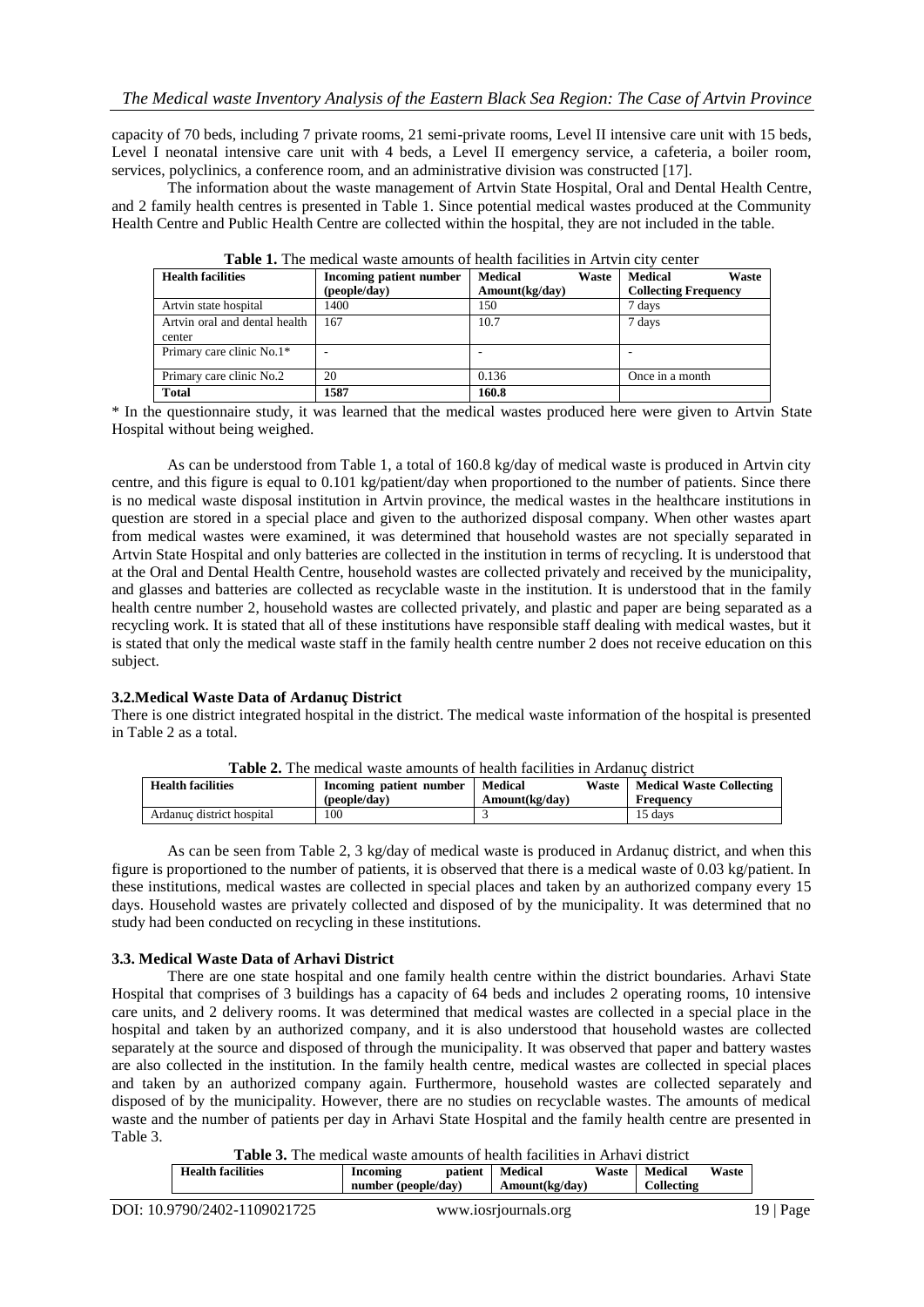capacity of 70 beds, including 7 private rooms, 21 semi-private rooms, Level II intensive care unit with 15 beds, Level I neonatal intensive care unit with 4 beds, a Level II emergency service, a cafeteria, a boiler room, services, polyclinics, a conference room, and an administrative division was constructed [17].

The information about the waste management of Artvin State Hospital, Oral and Dental Health Centre, and 2 family health centres is presented in Table 1. Since potential medical wastes produced at the Community Health Centre and Public Health Centre are collected within the hospital, they are not included in the table.

| <b>Health facilities</b>                | Incoming patient number | <b>Medical</b><br>Waste | <b>Medical</b><br>Waste     |
|-----------------------------------------|-------------------------|-------------------------|-----------------------------|
|                                         | (people/day)            | Amount(kg/day)          | <b>Collecting Frequency</b> |
| Artvin state hospital                   | 1400                    | 150                     | 7 days                      |
| Artvin oral and dental health<br>center | 167                     | 10.7                    | 7 days                      |
| Primary care clinic No.1*               |                         |                         |                             |
| Primary care clinic No.2                | 20                      | 0.136                   | Once in a month             |
| <b>Total</b>                            | 1587                    | 160.8                   |                             |

**Table 1.** The medical waste amounts of health facilities in Artvin city center

\* In the questionnaire study, it was learned that the medical wastes produced here were given to Artvin State Hospital without being weighed.

As can be understood from Table 1, a total of 160.8 kg/day of medical waste is produced in Artvin city centre, and this figure is equal to 0.101 kg/patient/day when proportioned to the number of patients. Since there is no medical waste disposal institution in Artvin province, the medical wastes in the healthcare institutions in question are stored in a special place and given to the authorized disposal company. When other wastes apart from medical wastes were examined, it was determined that household wastes are not specially separated in Artvin State Hospital and only batteries are collected in the institution in terms of recycling. It is understood that at the Oral and Dental Health Centre, household wastes are collected privately and received by the municipality, and glasses and batteries are collected as recyclable waste in the institution. It is understood that in the family health centre number 2, household wastes are collected privately, and plastic and paper are being separated as a recycling work. It is stated that all of these institutions have responsible staff dealing with medical wastes, but it is stated that only the medical waste staff in the family health centre number 2 does not receive education on this subject.

#### **3.2.Medical Waste Data of Ardanuç District**

There is one district integrated hospital in the district. The medical waste information of the hospital is presented in Table 2 as a total.

| <b>THOICE.</b> The mean waste allowing of health healthes in Thamac alguner |                         |                |       |                                 |
|-----------------------------------------------------------------------------|-------------------------|----------------|-------|---------------------------------|
| <b>Health facilities</b>                                                    | Incoming patient number | Medical        | Waste | <b>Medical Waste Collecting</b> |
|                                                                             | (people/day)            | Amount(kg/day) |       | Frequency                       |
| Ardanuc district hospital                                                   | 100                     |                |       | 15 days                         |

**Table 2.** The medical waste amounts of health facilities in Ardanuç district

As can be seen from Table 2, 3 kg/day of medical waste is produced in Ardanuç district, and when this figure is proportioned to the number of patients, it is observed that there is a medical waste of 0.03 kg/patient. In these institutions, medical wastes are collected in special places and taken by an authorized company every 15 days. Household wastes are privately collected and disposed of by the municipality. It was determined that no study had been conducted on recycling in these institutions.

#### **3.3. Medical Waste Data of Arhavi District**

There are one state hospital and one family health centre within the district boundaries. Arhavi State Hospital that comprises of 3 buildings has a capacity of 64 beds and includes 2 operating rooms, 10 intensive care units, and 2 delivery rooms. It was determined that medical wastes are collected in a special place in the hospital and taken by an authorized company, and it is also understood that household wastes are collected separately at the source and disposed of through the municipality. It was observed that paper and battery wastes are also collected in the institution. In the family health centre, medical wastes are collected in special places and taken by an authorized company again. Furthermore, household wastes are collected separately and disposed of by the municipality. However, there are no studies on recyclable wastes. The amounts of medical waste and the number of patients per day in Arhavi State Hospital and the family health centre are presented in Table 3.

**Table 3.** The medical waste amounts of health facilities in Arhavi district

| <b>Health facilities</b> | Incoming            | patient | Medical        | Waste | Medical           | Waste |
|--------------------------|---------------------|---------|----------------|-------|-------------------|-------|
|                          | number (people/day) |         | Amount(kg/day) |       | <b>Collecting</b> |       |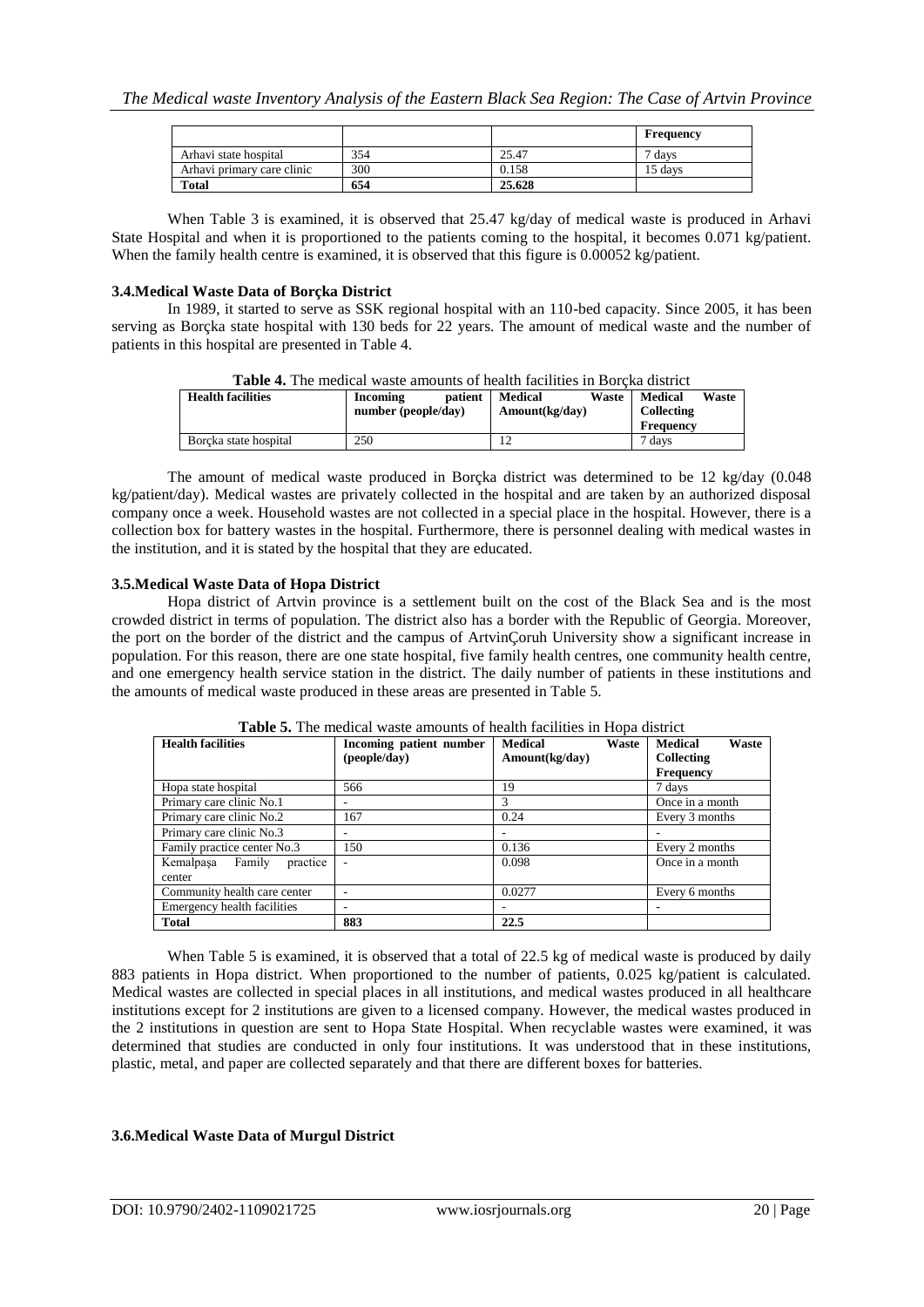|                            |     |        | Frequency |
|----------------------------|-----|--------|-----------|
| Arhavi state hospital      | 354 | 25.47  | 7 days    |
| Arhavi primary care clinic | 300 | 0.158  | 15 davs   |
| <b>Total</b>               | 654 | 25.628 |           |

When Table 3 is examined, it is observed that 25.47 kg/day of medical waste is produced in Arhavi State Hospital and when it is proportioned to the patients coming to the hospital, it becomes 0.071 kg/patient. When the family health centre is examined, it is observed that this figure is 0.00052 kg/patient.

#### **3.4.Medical Waste Data of Borçka District**

In 1989, it started to serve as SSK regional hospital with an 110-bed capacity. Since 2005, it has been serving as Borçka state hospital with 130 beds for 22 years. The amount of medical waste and the number of patients in this hospital are presented in Table 4.

|                          | TWAR II THE MEAN WAS MULE MILLOUILE OF HEMIT IMAILLE THE DOLEIM GIORICE |         |                |       |                |       |
|--------------------------|-------------------------------------------------------------------------|---------|----------------|-------|----------------|-------|
| <b>Health facilities</b> | Incoming                                                                | patient | <b>Medical</b> | Waste | <b>Medical</b> | Waste |
|                          | number (people/day)                                                     |         | Amount(kg/day) |       | Collecting     |       |
|                          |                                                                         |         |                |       | Frequency      |       |
| Borcka state hospital    | 250                                                                     |         |                |       | ' davs         |       |

| <b>Table 4.</b> The medical waste amounts of health facilities in Borcka district |  |
|-----------------------------------------------------------------------------------|--|
|-----------------------------------------------------------------------------------|--|

The amount of medical waste produced in Borçka district was determined to be 12 kg/day (0.048 kg/patient/day). Medical wastes are privately collected in the hospital and are taken by an authorized disposal company once a week. Household wastes are not collected in a special place in the hospital. However, there is a collection box for battery wastes in the hospital. Furthermore, there is personnel dealing with medical wastes in the institution, and it is stated by the hospital that they are educated.

#### **3.5.Medical Waste Data of Hopa District**

Hopa district of Artvin province is a settlement built on the cost of the Black Sea and is the most crowded district in terms of population. The district also has a border with the Republic of Georgia. Moreover, the port on the border of the district and the campus of ArtvinÇoruh University show a significant increase in population. For this reason, there are one state hospital, five family health centres, one community health centre, and one emergency health service station in the district. The daily number of patients in these institutions and the amounts of medical waste produced in these areas are presented in Table 5.

| <b>Health facilities</b>               | Incoming patient number<br>(people/day) | <b>Medical</b><br>Waste<br>Amount(kg/day) | <b>Medical</b><br>Waste<br>Collecting<br>Frequency |  |
|----------------------------------------|-----------------------------------------|-------------------------------------------|----------------------------------------------------|--|
| Hopa state hospital                    | 566                                     | 19                                        | 7 days                                             |  |
| Primary care clinic No.1               | ۰                                       |                                           | Once in a month                                    |  |
| Primary care clinic No.2               | 167                                     | 0.24                                      | Every 3 months                                     |  |
| Primary care clinic No.3               |                                         |                                           |                                                    |  |
| Family practice center No.3            | 150                                     | 0.136                                     | Every 2 months                                     |  |
| Kemalpasa Family<br>practice<br>center |                                         | 0.098                                     | Once in a month                                    |  |
| Community health care center           | ۰                                       | 0.0277                                    | Every 6 months                                     |  |
| Emergency health facilities            | ۰                                       |                                           |                                                    |  |
| <b>Total</b>                           | 883                                     | 22.5                                      |                                                    |  |

**Table 5.** The medical waste amounts of health facilities in Hopa district

When Table 5 is examined, it is observed that a total of 22.5 kg of medical waste is produced by daily 883 patients in Hopa district. When proportioned to the number of patients, 0.025 kg/patient is calculated. Medical wastes are collected in special places in all institutions, and medical wastes produced in all healthcare institutions except for 2 institutions are given to a licensed company. However, the medical wastes produced in the 2 institutions in question are sent to Hopa State Hospital. When recyclable wastes were examined, it was determined that studies are conducted in only four institutions. It was understood that in these institutions, plastic, metal, and paper are collected separately and that there are different boxes for batteries.

#### **3.6.Medical Waste Data of Murgul District**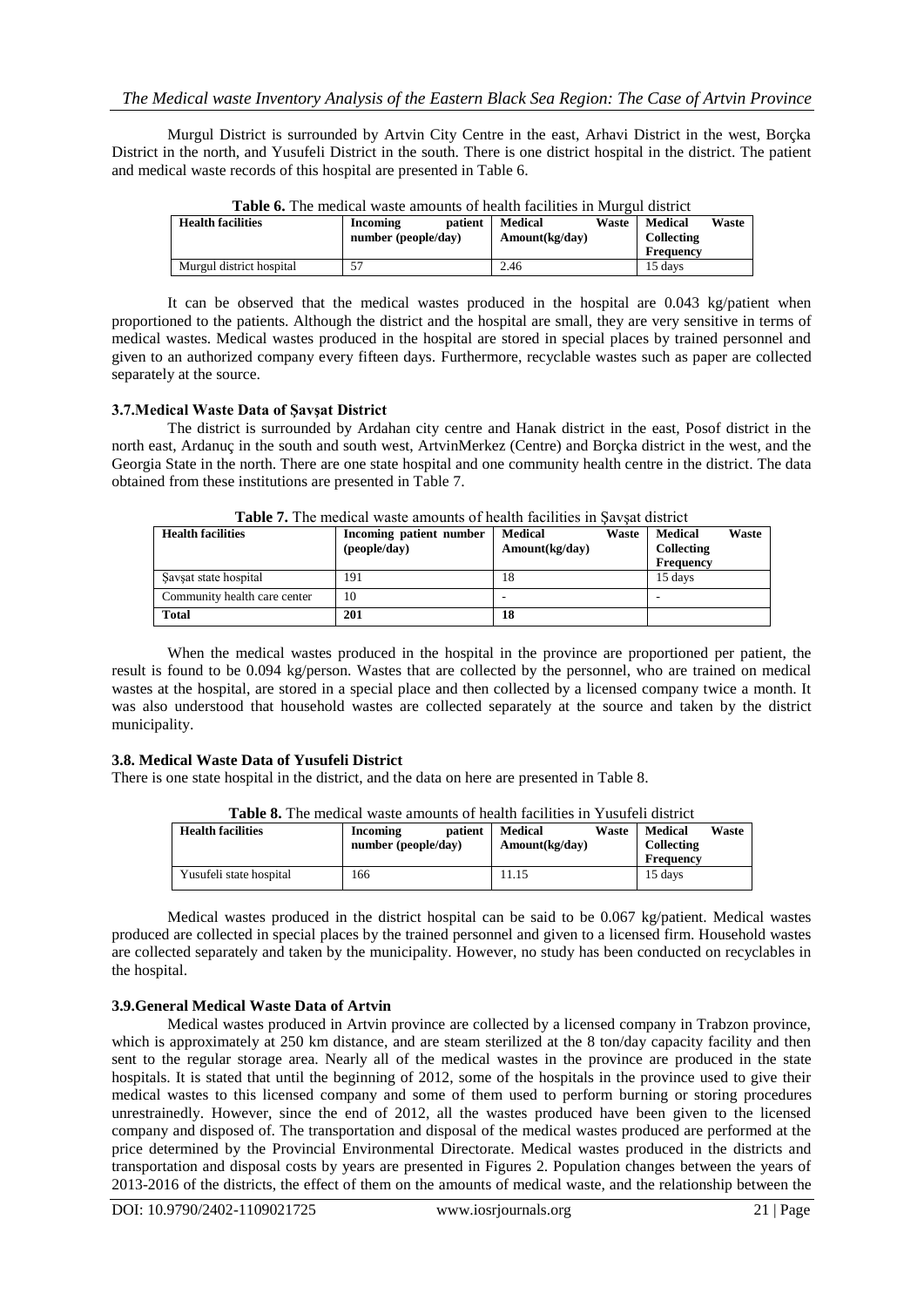Murgul District is surrounded by Artvin City Centre in the east, Arhavi District in the west, Borçka District in the north, and Yusufeli District in the south. There is one district hospital in the district. The patient and medical waste records of this hospital are presented in Table 6.

| <b>Table 0.</b> The medical waste amounts of nearm facilities in Murgui district |                     |         |                |       |                |       |
|----------------------------------------------------------------------------------|---------------------|---------|----------------|-------|----------------|-------|
| <b>Health facilities</b>                                                         | Incoming            | patient | Medical        | Waste | <b>Medical</b> | Waste |
|                                                                                  | number (people/day) |         | Amount(kg/day) |       | Collecting     |       |
|                                                                                  |                     |         |                |       | Frequency      |       |
| Murgul district hospital                                                         |                     |         | 2.46           |       | 15 days        |       |

**Table 6.** The medical waste amounts of health facilities in Murgul district

It can be observed that the medical wastes produced in the hospital are 0.043 kg/patient when proportioned to the patients. Although the district and the hospital are small, they are very sensitive in terms of medical wastes. Medical wastes produced in the hospital are stored in special places by trained personnel and given to an authorized company every fifteen days. Furthermore, recyclable wastes such as paper are collected separately at the source.

## **3.7.Medical Waste Data of Şavşat District**

The district is surrounded by Ardahan city centre and Hanak district in the east, Posof district in the north east, Ardanuç in the south and south west, ArtvinMerkez (Centre) and Borçka district in the west, and the Georgia State in the north. There are one state hospital and one community health centre in the district. The data obtained from these institutions are presented in Table 7.

| <b>Health facilities</b>     | Incoming patient number<br>(people/day) | <b>Medical</b><br>Waste<br>Amount(kg/day) | <b>Medical</b><br>Waste<br>Collecting<br><b>Frequency</b> |
|------------------------------|-----------------------------------------|-------------------------------------------|-----------------------------------------------------------|
| Savsat state hospital        | 191                                     | 18                                        | 15 days                                                   |
| Community health care center | 10                                      |                                           |                                                           |
| <b>Total</b>                 | 201                                     | 18                                        |                                                           |

**Table 7.** The medical waste amounts of health facilities in Saysat district

When the medical wastes produced in the hospital in the province are proportioned per patient, the result is found to be 0.094 kg/person. Wastes that are collected by the personnel, who are trained on medical wastes at the hospital, are stored in a special place and then collected by a licensed company twice a month. It was also understood that household wastes are collected separately at the source and taken by the district municipality.

## **3.8. Medical Waste Data of Yusufeli District**

There is one state hospital in the district, and the data on here are presented in Table 8.

| <b>Table 8.</b> The medical waste amounts of health facilities in Yusufell district |                     |         |                |       |                |       |
|-------------------------------------------------------------------------------------|---------------------|---------|----------------|-------|----------------|-------|
| <b>Health facilities</b>                                                            | Incoming            | patient | <b>Medical</b> | Waste | <b>Medical</b> | Waste |
|                                                                                     | number (people/day) |         | Amount(kg/day) |       | Collecting     |       |
|                                                                                     |                     |         |                |       | Frequency      |       |
| Yusufeli state hospital                                                             | 166                 |         | 1.15           |       | 15 days        |       |

**Table 8.** The medical waste amounts of health facilities in Yusufeli district

Medical wastes produced in the district hospital can be said to be 0.067 kg/patient. Medical wastes produced are collected in special places by the trained personnel and given to a licensed firm. Household wastes are collected separately and taken by the municipality. However, no study has been conducted on recyclables in the hospital.

## **3.9.General Medical Waste Data of Artvin**

Medical wastes produced in Artvin province are collected by a licensed company in Trabzon province, which is approximately at 250 km distance, and are steam sterilized at the 8 ton/day capacity facility and then sent to the regular storage area. Nearly all of the medical wastes in the province are produced in the state hospitals. It is stated that until the beginning of 2012, some of the hospitals in the province used to give their medical wastes to this licensed company and some of them used to perform burning or storing procedures unrestrainedly. However, since the end of 2012, all the wastes produced have been given to the licensed company and disposed of. The transportation and disposal of the medical wastes produced are performed at the price determined by the Provincial Environmental Directorate. Medical wastes produced in the districts and transportation and disposal costs by years are presented in Figures 2. Population changes between the years of 2013-2016 of the districts, the effect of them on the amounts of medical waste, and the relationship between the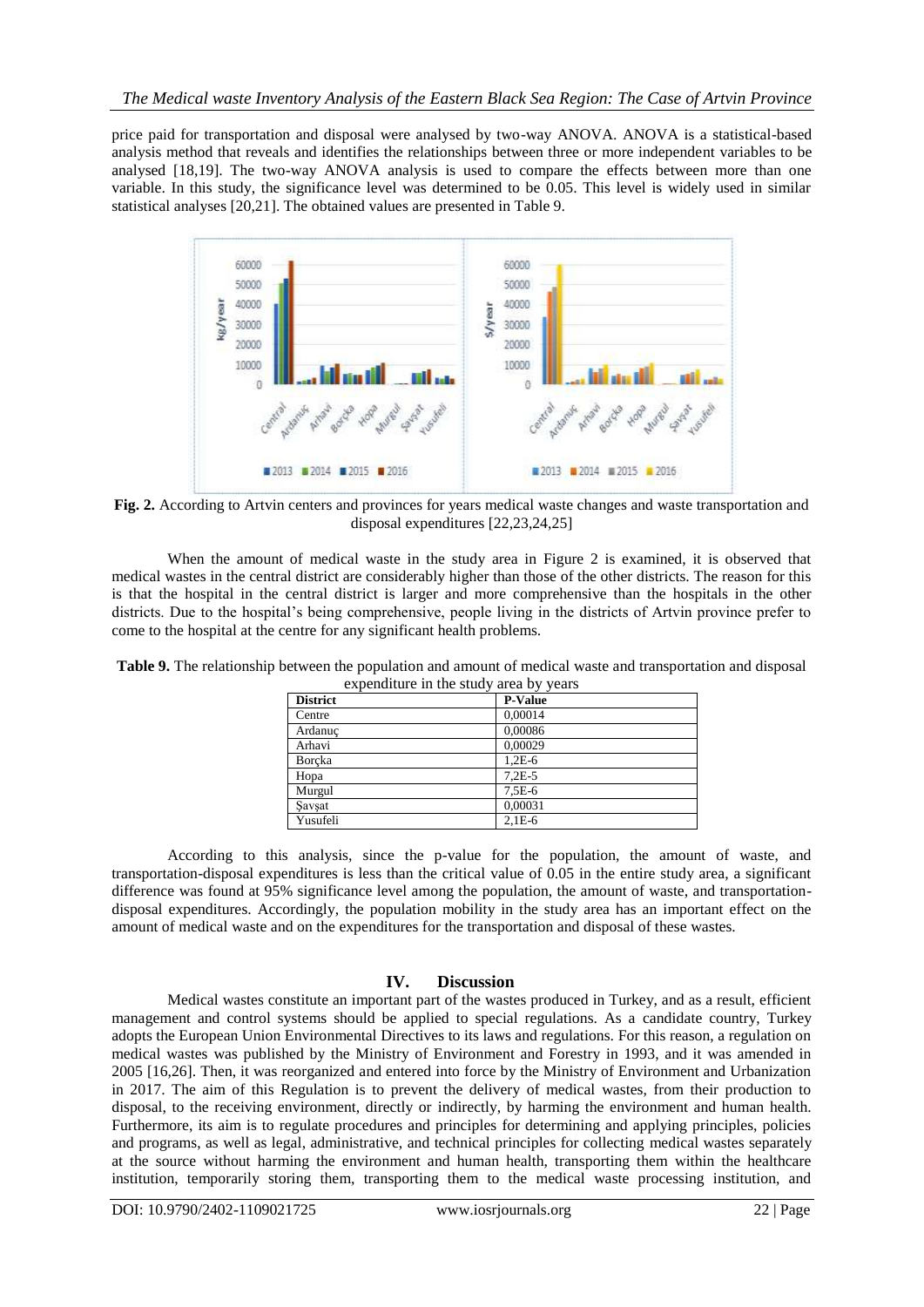price paid for transportation and disposal were analysed by two-way ANOVA. ANOVA is a statistical-based analysis method that reveals and identifies the relationships between three or more independent variables to be analysed [18,19]. The two-way ANOVA analysis is used to compare the effects between more than one variable. In this study, the significance level was determined to be 0.05. This level is widely used in similar statistical analyses [20,21]. The obtained values are presented in Table 9.



**Fig. 2.** According to Artvin centers and provinces for years medical waste changes and waste transportation and disposal expenditures [22,23,24,25]

When the amount of medical waste in the study area in Figure 2 is examined, it is observed that medical wastes in the central district are considerably higher than those of the other districts. The reason for this is that the hospital in the central district is larger and more comprehensive than the hospitals in the other districts. Due to the hospital's being comprehensive, people living in the districts of Artvin province prefer to come to the hospital at the centre for any significant health problems.

| $\alpha$        | $\mathbf{u}$ $\mathbf{v}$ $\mathbf{v}$ $\mathbf{v}$ $\mathbf{v}$ $\mathbf{u}$ $\mathbf{v}$ |
|-----------------|--------------------------------------------------------------------------------------------|
| <b>District</b> | <b>P-Value</b>                                                                             |
| Centre          | 0.00014                                                                                    |
| Ardanuc         | 0,00086                                                                                    |
| Arhavi          | 0.00029                                                                                    |
| Borcka          | $1.2E-6$                                                                                   |
| Hopa            | $7.2E - 5$                                                                                 |
| Murgul          | $7.5E-6$                                                                                   |
| Savşat          | 0.00031                                                                                    |
| Yusufeli        | $2.1E-6$                                                                                   |

**Table 9.** The relationship between the population and amount of medical waste and transportation and disposal expenditure in the study area by years

According to this analysis, since the p-value for the population, the amount of waste, and transportation-disposal expenditures is less than the critical value of 0.05 in the entire study area, a significant difference was found at 95% significance level among the population, the amount of waste, and transportationdisposal expenditures. Accordingly, the population mobility in the study area has an important effect on the amount of medical waste and on the expenditures for the transportation and disposal of these wastes.

#### **IV. Discussion**

Medical wastes constitute an important part of the wastes produced in Turkey, and as a result, efficient management and control systems should be applied to special regulations. As a candidate country, Turkey adopts the European Union Environmental Directives to its laws and regulations. For this reason, a regulation on medical wastes was published by the Ministry of Environment and Forestry in 1993, and it was amended in 2005 [16,26]. Then, it was reorganized and entered into force by the Ministry of Environment and Urbanization in 2017. The aim of this Regulation is to prevent the delivery of medical wastes, from their production to disposal, to the receiving environment, directly or indirectly, by harming the environment and human health. Furthermore, its aim is to regulate procedures and principles for determining and applying principles, policies and programs, as well as legal, administrative, and technical principles for collecting medical wastes separately at the source without harming the environment and human health, transporting them within the healthcare institution, temporarily storing them, transporting them to the medical waste processing institution, and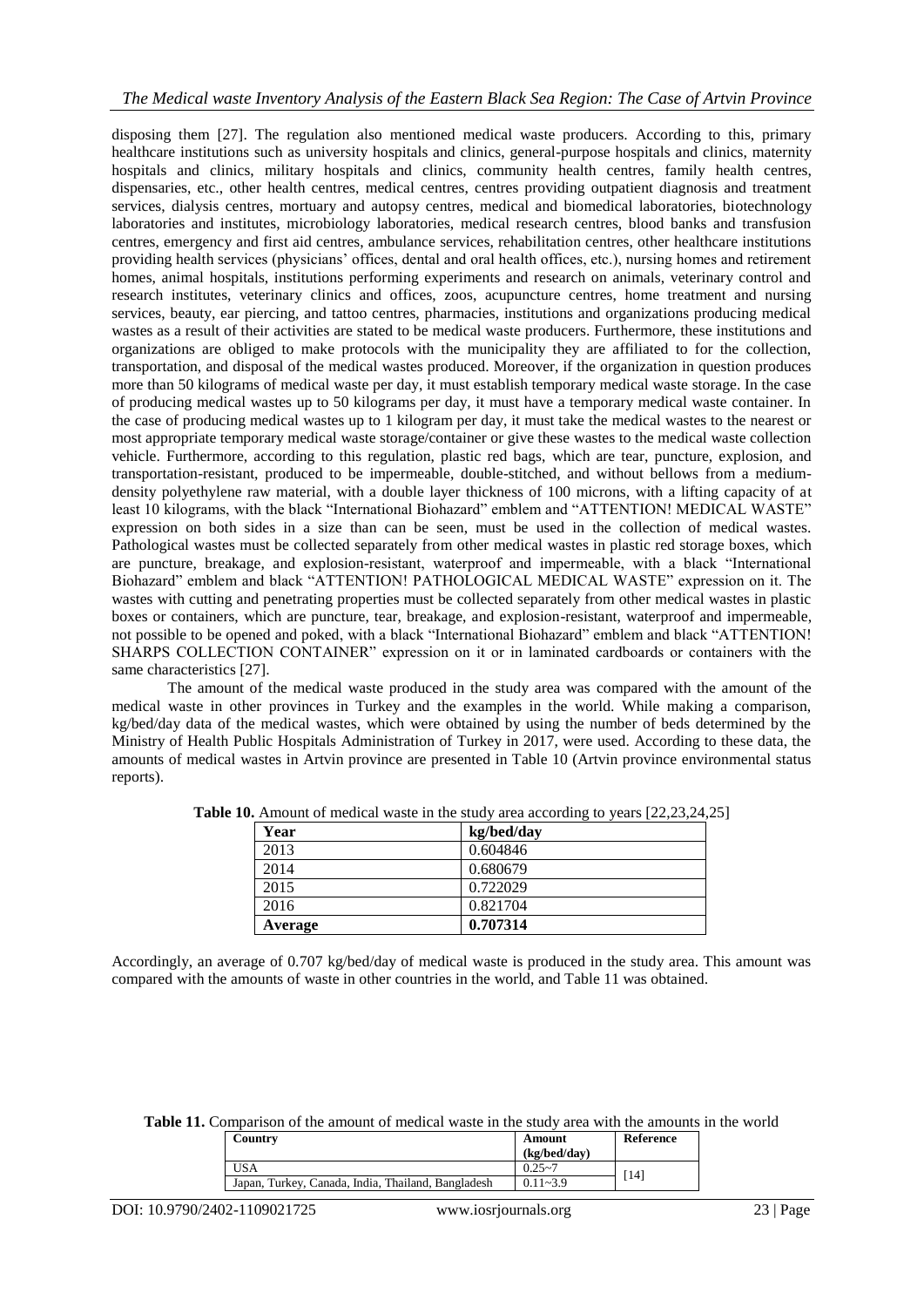## *The Medical waste Inventory Analysis of the Eastern Black Sea Region: The Case of Artvin Province*

disposing them [27]. The regulation also mentioned medical waste producers. According to this, primary healthcare institutions such as university hospitals and clinics, general-purpose hospitals and clinics, maternity hospitals and clinics, military hospitals and clinics, community health centres, family health centres, dispensaries, etc., other health centres, medical centres, centres providing outpatient diagnosis and treatment services, dialysis centres, mortuary and autopsy centres, medical and biomedical laboratories, biotechnology laboratories and institutes, microbiology laboratories, medical research centres, blood banks and transfusion centres, emergency and first aid centres, ambulance services, rehabilitation centres, other healthcare institutions providing health services (physicians' offices, dental and oral health offices, etc.), nursing homes and retirement homes, animal hospitals, institutions performing experiments and research on animals, veterinary control and research institutes, veterinary clinics and offices, zoos, acupuncture centres, home treatment and nursing services, beauty, ear piercing, and tattoo centres, pharmacies, institutions and organizations producing medical wastes as a result of their activities are stated to be medical waste producers. Furthermore, these institutions and organizations are obliged to make protocols with the municipality they are affiliated to for the collection, transportation, and disposal of the medical wastes produced. Moreover, if the organization in question produces more than 50 kilograms of medical waste per day, it must establish temporary medical waste storage. In the case of producing medical wastes up to 50 kilograms per day, it must have a temporary medical waste container. In the case of producing medical wastes up to 1 kilogram per day, it must take the medical wastes to the nearest or most appropriate temporary medical waste storage/container or give these wastes to the medical waste collection vehicle. Furthermore, according to this regulation, plastic red bags, which are tear, puncture, explosion, and transportation-resistant, produced to be impermeable, double-stitched, and without bellows from a mediumdensity polyethylene raw material, with a double layer thickness of 100 microns, with a lifting capacity of at least 10 kilograms, with the black "International Biohazard" emblem and "ATTENTION! MEDICAL WASTE" expression on both sides in a size than can be seen, must be used in the collection of medical wastes. Pathological wastes must be collected separately from other medical wastes in plastic red storage boxes, which are puncture, breakage, and explosion-resistant, waterproof and impermeable, with a black "International Biohazard" emblem and black "ATTENTION! PATHOLOGICAL MEDICAL WASTE" expression on it. The wastes with cutting and penetrating properties must be collected separately from other medical wastes in plastic boxes or containers, which are puncture, tear, breakage, and explosion-resistant, waterproof and impermeable, not possible to be opened and poked, with a black "International Biohazard" emblem and black "ATTENTION! SHARPS COLLECTION CONTAINER" expression on it or in laminated cardboards or containers with the same characteristics [27].

The amount of the medical waste produced in the study area was compared with the amount of the medical waste in other provinces in Turkey and the examples in the world. While making a comparison, kg/bed/day data of the medical wastes, which were obtained by using the number of beds determined by the Ministry of Health Public Hospitals Administration of Turkey in 2017, were used. According to these data, the amounts of medical wastes in Artvin province are presented in Table 10 (Artvin province environmental status reports).

| Year    | kg/bed/day |
|---------|------------|
| 2013    | 0.604846   |
| 2014    | 0.680679   |
| 2015    | 0.722029   |
| 2016    | 0.821704   |
| Average | 0.707314   |

**Table 10.** Amount of medical waste in the study area according to years [22,23,24,25]

Accordingly, an average of 0.707 kg/bed/day of medical waste is produced in the study area. This amount was compared with the amounts of waste in other countries in the world, and Table 11 was obtained.

| <b>Table 11.</b> Comparison of the amount of medical waste in the study area with the amounts in the world |  |
|------------------------------------------------------------------------------------------------------------|--|
|------------------------------------------------------------------------------------------------------------|--|

| Country                                            | Amount<br>(kg/bed/day) | <b>Reference</b> |
|----------------------------------------------------|------------------------|------------------|
| USA                                                | $0.25 - 7$             |                  |
| Japan, Turkey, Canada, India, Thailand, Bangladesh | $0.11 - 3.9$           | [14]             |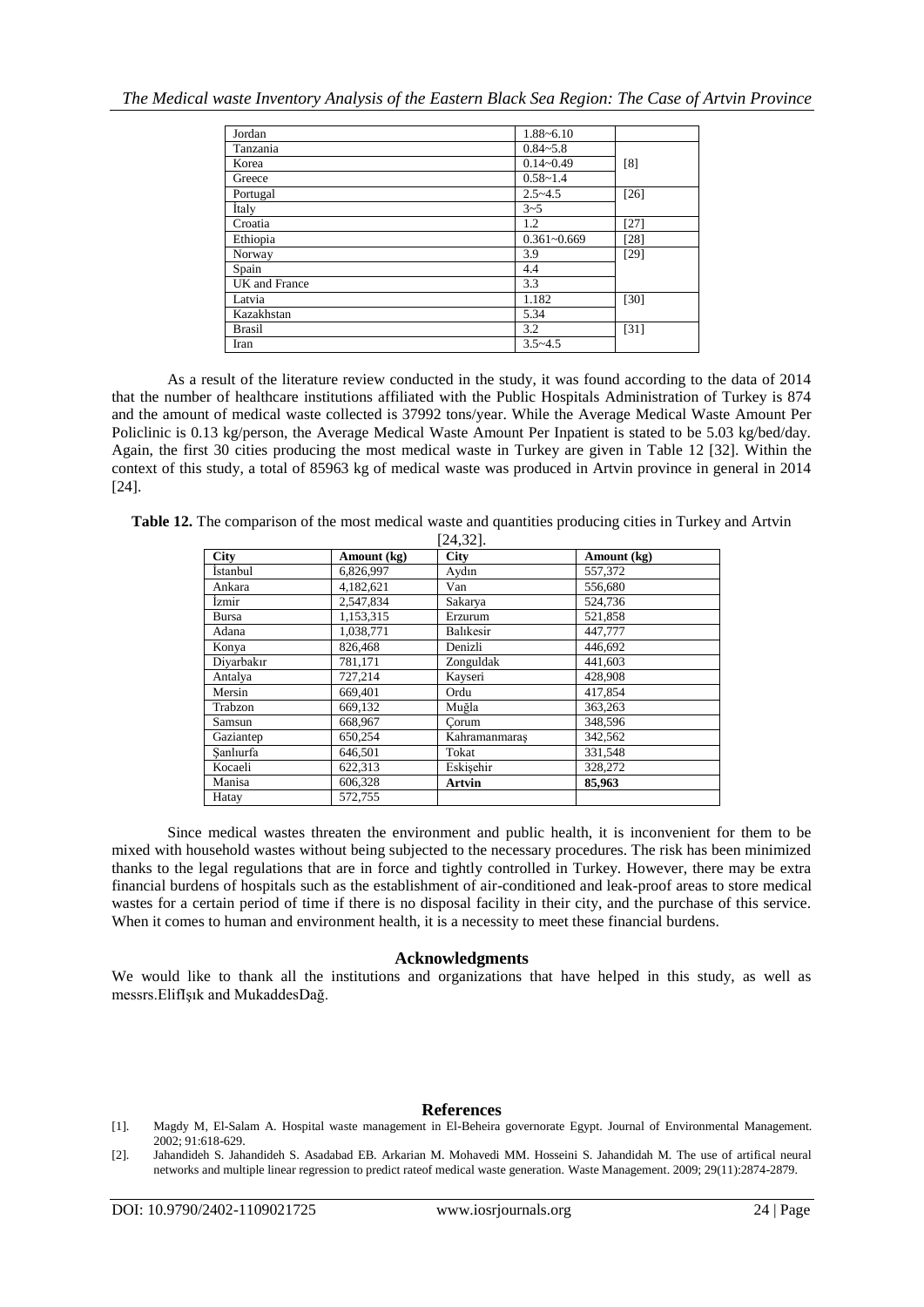| Jordan        | 1.88~6.10       |        |
|---------------|-----------------|--------|
| Tanzania      | $0.84 - 5.8$    |        |
| Korea         | $0.14 - 0.49$   | [8]    |
| Greece        | $0.58 - 1.4$    |        |
| Portugal      | $2.5 - 4.5$     | $[26]$ |
| <b>Italy</b>  | $3 - 5$         |        |
| Croatia       | 1.2             | $[27]$ |
| Ethiopia      | $0.361 - 0.669$ | $[28]$ |
| Norway        | 3.9             | $[29]$ |
| Spain         | 4.4             |        |
| UK and France | 3.3             |        |
| Latvia        | 1.182           | $[30]$ |
| Kazakhstan    | 5.34            |        |
| <b>Brasil</b> | 3.2             | $[31]$ |
| Iran          | $3.5 - 4.5$     |        |

As a result of the literature review conducted in the study, it was found according to the data of 2014 that the number of healthcare institutions affiliated with the Public Hospitals Administration of Turkey is 874 and the amount of medical waste collected is 37992 tons/year. While the Average Medical Waste Amount Per Policlinic is 0.13 kg/person, the Average Medical Waste Amount Per Inpatient is stated to be 5.03 kg/bed/day. Again, the first 30 cities producing the most medical waste in Turkey are given in Table 12 [32]. Within the context of this study, a total of 85963 kg of medical waste was produced in Artvin province in general in 2014 [24].

**Table 12.** The comparison of the most medical waste and quantities producing cities in Turkey and Artvin  $[24, 32]$ 

| <b>City</b> | Amount (kg) | <b>City</b>   | Amount (kg) |  |
|-------------|-------------|---------------|-------------|--|
| İstanbul    | 6,826,997   | Aydın         | 557,372     |  |
| Ankara      | 4,182,621   | Van           | 556,680     |  |
| Izmir       | 2,547,834   | Sakarya       | 524,736     |  |
| Bursa       | 1,153,315   | Erzurum       | 521,858     |  |
| Adana       | 1,038,771   | Balıkesir     | 447,777     |  |
| Konya       | 826.468     | Denizli       | 446.692     |  |
| Diyarbakır  | 781,171     | Zonguldak     | 441,603     |  |
| Antalya     | 727,214     | Kayseri       | 428,908     |  |
| Mersin      | 669,401     | Ordu          | 417.854     |  |
| Trabzon     | 669,132     | Muğla         | 363,263     |  |
| Samsun      | 668,967     | Corum         | 348,596     |  |
| Gaziantep   | 650,254     | Kahramanmaraş | 342,562     |  |
| Sanlıurfa   | 646,501     | Tokat         | 331,548     |  |
| Kocaeli     | 622.313     | Eskisehir     | 328,272     |  |
| Manisa      | 606,328     | <b>Artvin</b> | 85,963      |  |
| Hatay       | 572,755     |               |             |  |

Since medical wastes threaten the environment and public health, it is inconvenient for them to be mixed with household wastes without being subjected to the necessary procedures. The risk has been minimized thanks to the legal regulations that are in force and tightly controlled in Turkey. However, there may be extra financial burdens of hospitals such as the establishment of air-conditioned and leak-proof areas to store medical wastes for a certain period of time if there is no disposal facility in their city, and the purchase of this service. When it comes to human and environment health, it is a necessity to meet these financial burdens.

#### **Acknowledgments**

We would like to thank all the institutions and organizations that have helped in this study, as well as messrs.ElifIşık and MukaddesDağ.

## **References**

[1]. Magdy M, El-Salam A. Hospital waste management in El-Beheira governorate Egypt. Journal of Environmental Management. 2002; 91:618-629.

<sup>[2].</sup> Jahandideh S. Jahandideh S. Asadabad EB. Arkarian M. Mohavedi MM. Hosseini S. Jahandidah M. The use of artifical neural networks and multiple linear regression to predict rateof medical waste generation. Waste Management. 2009; 29(11):2874-2879.